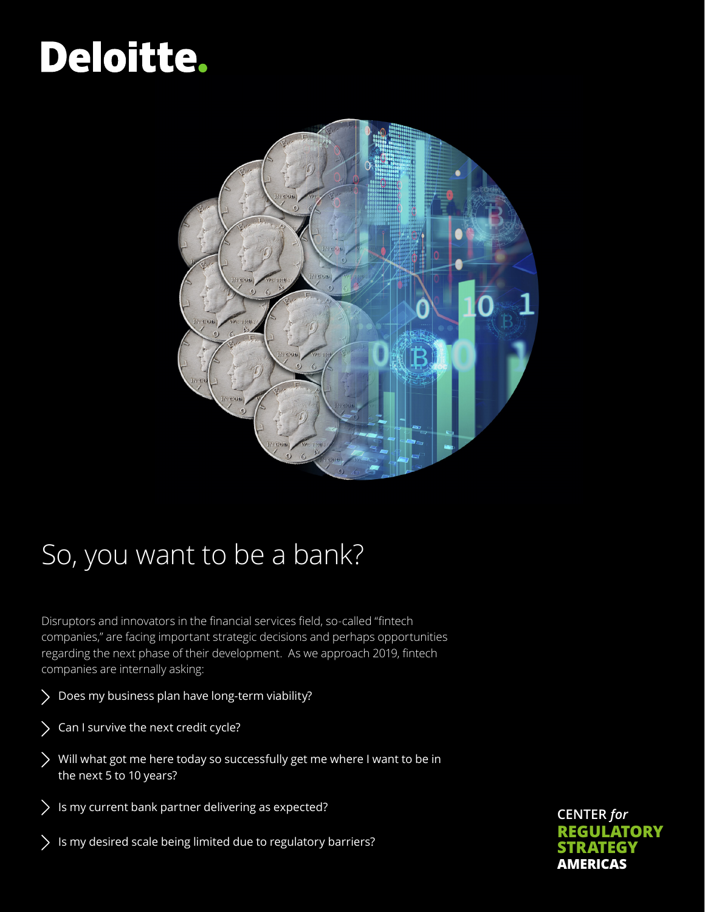# Deloitte.



## So, you want to be a bank?

Disruptors and innovators in the financial services field, so-called "fintech companies," are facing important strategic decisions and perhaps opportunities regarding the next phase of their development. As we approach 2019, fintech companies are internally asking:

- Does my business plan have long-term viability?
- Can I survive the next credit cycle?
- Will what got me here today so successfully get me where I want to be in the next 5 to 10 years?
- $\sum$  Is my current bank partner delivering as expected?
- $\sum$  Is my desired scale being limited due to regulatory barriers?

**CENTER** *for* **REGULATORY STRATEGY AMERICAS**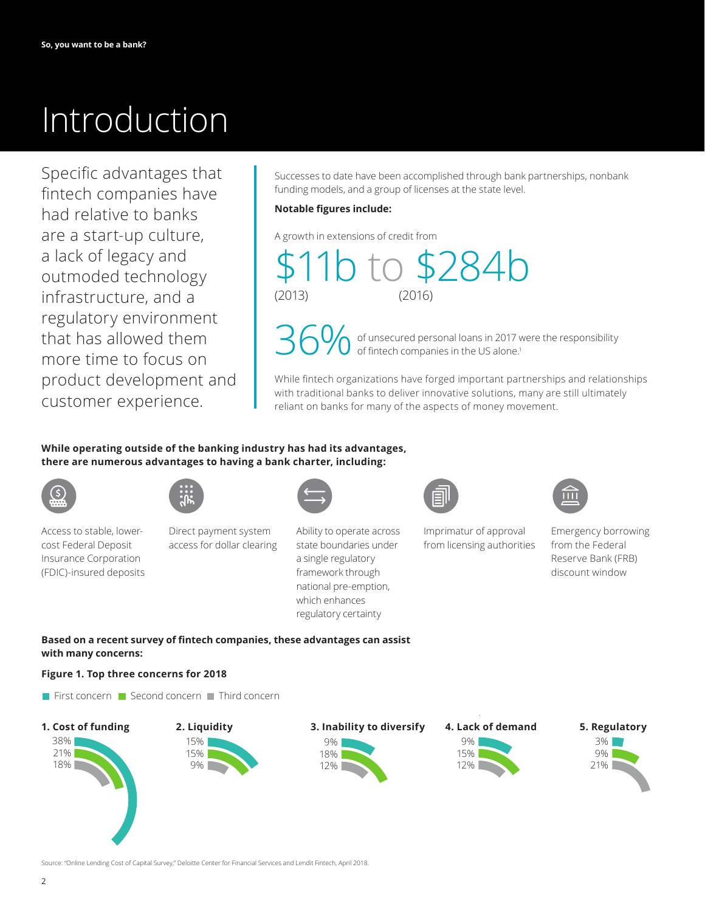## Introduction

Specific advantages that fintech companies have had relative to banks are a start-up culture, a lack of legacy and outmoded technology infrastructure, and a regulatory environment that has allowed them more time to focus on product development and customer experience.

Successes to date have been accomplished through bank partnerships, nonbank funding models, and a group of licenses at the state level.

### **Notable figures include:**

A growth in extensions of credit from

\$11b to \$284b  $(2016)$ 

of unsecured personal loans in 2017 were the responsibility of fintech companies in the US alone. 1

While fintech organizations have forged important partnerships and relationships with traditional banks to deliver innovative solutions, many are still ultimately reliant on banks for many of the aspects of money movement.

## **While operating outside of the banking industry has had its advantages, there are numerous advantages to having a bank charter, including:**



Access to stable, lowercost Federal Deposit Insurance Corporation (FDIC)-insured deposits



Direct payment system access for dollar clearing



Ability to operate across state boundaries under a single regulatory framework through national pre-emption, which enhances regulatory certainty



Imprimatur of approval from licensing authorities



Emergency borrowing from the Federal Reserve Bank (FRB) discount window

**Based on a recent survey of fintech companies, these advantages can assist with many concerns:**

## **Figure 1. Top three concerns for 2018**











Source: "Online Lending Cost of Capital Survey," Deloitte Center for Financial Services and Lendit Fintech, April 2018.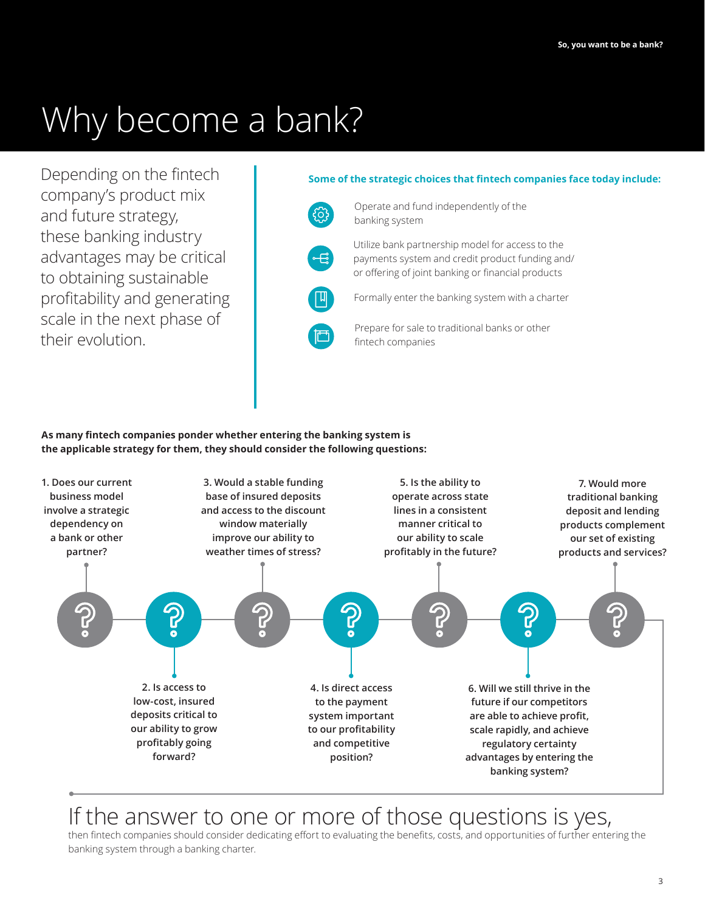## Why become a bank?

Depending on the fintech company's product mix and future strategy, these banking industry advantages may be critical to obtaining sustainable profitability and generating scale in the next phase of their evolution.

## **Some of the strategic choices that fintech companies face today include:**



Operate and fund independently of the banking system

Utilize bank partnership model for access to the payments system and credit product funding and/ or offering of joint banking or financial products

Formally enter the banking system with a charter



Prepare for sale to traditional banks or other fintech companies

## **As many fintech companies ponder whether entering the banking system is the applicable strategy for them, they should consider the following questions:**



## If the answer to one or more of those questions is yes,

then fintech companies should consider dedicating effort to evaluating the benefits, costs, and opportunities of further entering the banking system through a banking charter.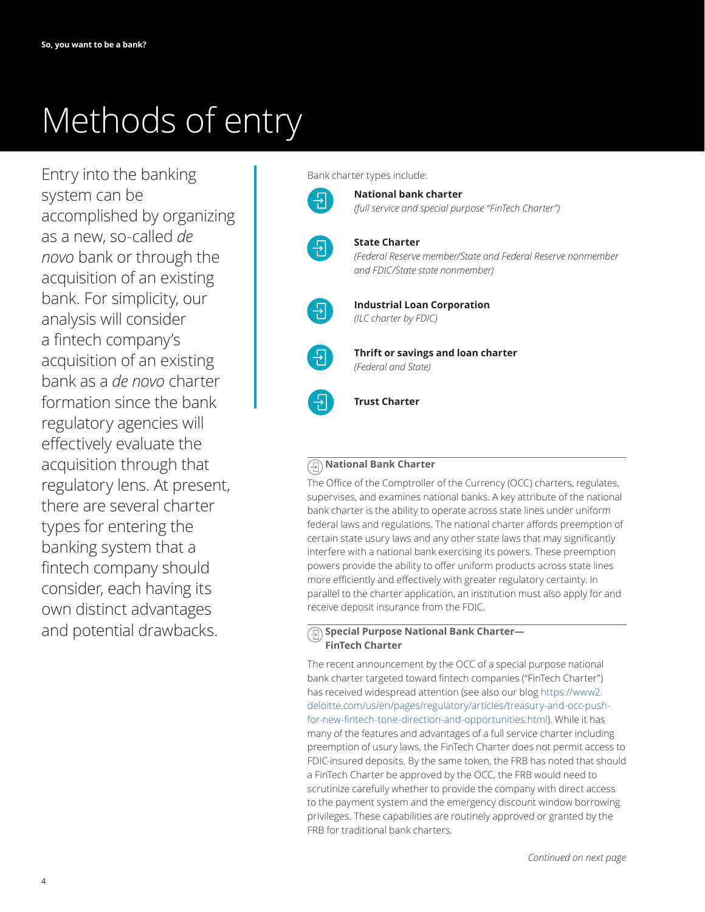## Methods of entry

Entry into the banking system can be accomplished by organizing as a new, so-called *de novo* bank or through the acquisition of an existing bank. For simplicity, our analysis will consider a fintech company's acquisition of an existing bank as a *de novo* charter formation since the bank regulatory agencies will effectively evaluate the acquisition through that regulatory lens. At present, there are several charter types for entering the banking system that a fintech company should consider, each having its own distinct advantages and potential drawbacks.

Bank charter types include:

**National bank charter** *(full service and special purpose "FinTech Charter")*



뒨

## **State Charter**

*(Federal Reserve member/State and Federal Reserve nonmember and FDIC/State state nonmember)*



**Industrial Loan Corporation** *(ILC charter by FDIC)*



**Thrift or savings and loan charter** *(Federal and State)*



#### **National Bank Charter**  $\left( \frac{1}{2} \right)$

The Office of the Comptroller of the Currency (OCC) charters, regulates, supervises, and examines national banks. A key attribute of the national bank charter is the ability to operate across state lines under uniform federal laws and regulations. The national charter affords preemption of certain state usury laws and any other state laws that may significantly interfere with a national bank exercising its powers. These preemption powers provide the ability to offer uniform products across state lines more efficiently and effectively with greater regulatory certainty. In parallel to the charter application, an institution must also apply for and receive deposit insurance from the FDIC.

#### **Special Purpose National Bank Charter—** 91 **FinTech Charter**

The recent announcement by the OCC of a special purpose national bank charter targeted toward fintech companies ("FinTech Charter") has received widespread attention (see also our blog [https://www2.](https://www2.deloitte.com/us/en/pages/regulatory/articles/treasury-and-occ-push-for-new-fintech-tone-direction-and-opportunities.html) [deloitte.com/us/en/pages/regulatory/articles/treasury-and-occ-push](https://www2.deloitte.com/us/en/pages/regulatory/articles/treasury-and-occ-push-for-new-fintech-tone-direction-and-opportunities.html)[for-new-fintech-tone-direction-and-opportunities.html\)](https://www2.deloitte.com/us/en/pages/regulatory/articles/treasury-and-occ-push-for-new-fintech-tone-direction-and-opportunities.html). While it has many of the features and advantages of a full service charter including preemption of usury laws, the FinTech Charter does not permit access to FDIC-insured deposits. By the same token, the FRB has noted that should a FinTech Charter be approved by the OCC, the FRB would need to scrutinize carefully whether to provide the company with direct access to the payment system and the emergency discount window borrowing privileges. These capabilities are routinely approved or granted by the FRB for traditional bank charters.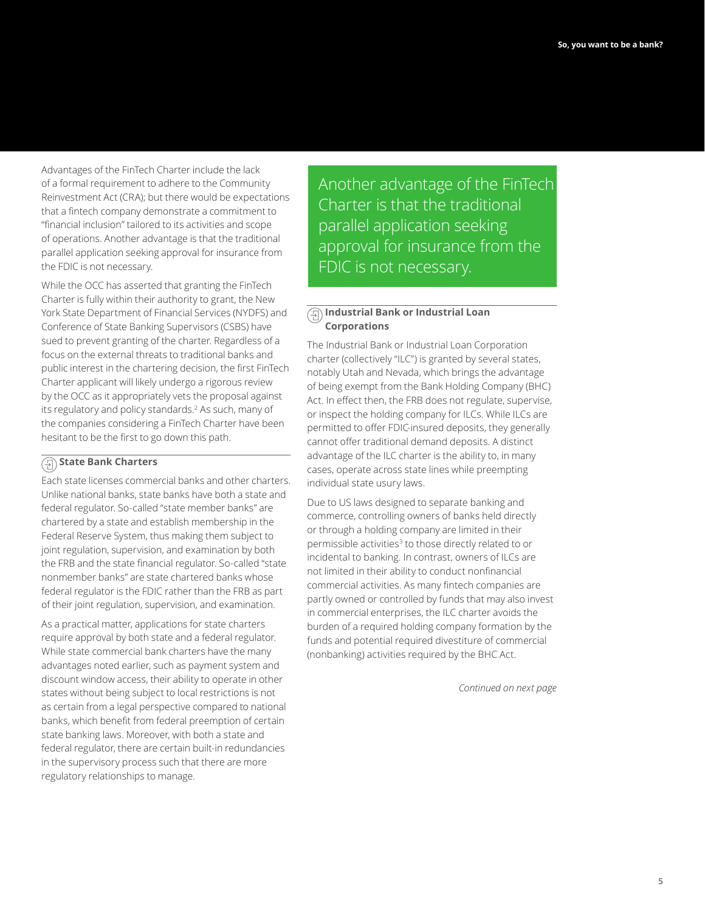Advantages of the FinTech Charter include the lack of a formal requirement to adhere to the Community Reinvestment Act (CRA); but there would be expectations that a fintech company demonstrate a commitment to "financial inclusion" tailored to its activities and scope of operations. Another advantage is that the traditional parallel application seeking approval for insurance from the FDIC is not necessary.

While the OCC has asserted that granting the FinTech Charter is fully within their authority to grant, the New York State Department of Financial Services (NYDFS) and Conference of State Banking Supervisors (CSBS) have sued to prevent granting of the charter. Regardless of a focus on the external threats to traditional banks and public interest in the chartering decision, the first FinTech Charter applicant will likely undergo a rigorous review by the OCC as it appropriately vets the proposal against its regulatory and policy standards.2 As such, many of the companies considering a FinTech Charter have been hesitant to be the first to go down this path.

## **State Bank Charters**

Each state licenses commercial banks and other charters. Unlike national banks, state banks have both a state and federal regulator. So-called "state member banks" are chartered by a state and establish membership in the Federal Reserve System, thus making them subject to joint regulation, supervision, and examination by both the FRB and the state financial regulator. So-called "state nonmember banks" are state chartered banks whose federal regulator is the FDIC rather than the FRB as part of their joint regulation, supervision, and examination.

As a practical matter, applications for state charters require approval by both state and a federal regulator. While state commercial bank charters have the many advantages noted earlier, such as payment system and discount window access, their ability to operate in other states without being subject to local restrictions is not as certain from a legal perspective compared to national banks, which benefit from federal preemption of certain state banking laws. Moreover, with both a state and federal regulator, there are certain built-in redundancies in the supervisory process such that there are more regulatory relationships to manage.

Another advantage of the FinTech Charter is that the traditional parallel application seeking approval for insurance from the FDIC is not necessary.

## **Industrial Bank or Industrial Loan Corporations**

The Industrial Bank or Industrial Loan Corporation charter (collectively "ILC") is granted by several states, notably Utah and Nevada, which brings the advantage of being exempt from the Bank Holding Company (BHC) Act. In effect then, the FRB does not regulate, supervise, or inspect the holding company for ILCs. While ILCs are permitted to offer FDIC-insured deposits, they generally cannot offer traditional demand deposits. A distinct advantage of the ILC charter is the ability to, in many cases, operate across state lines while preempting individual state usury laws.

Due to US laws designed to separate banking and commerce, controlling owners of banks held directly or through a holding company are limited in their permissible activities<sup>3</sup> to those directly related to or incidental to banking. In contrast, owners of ILCs are not limited in their ability to conduct nonfinancial commercial activities. As many fintech companies are partly owned or controlled by funds that may also invest in commercial enterprises, the ILC charter avoids the burden of a required holding company formation by the funds and potential required divestiture of commercial (nonbanking) activities required by the BHC Act.

*Continued on next page*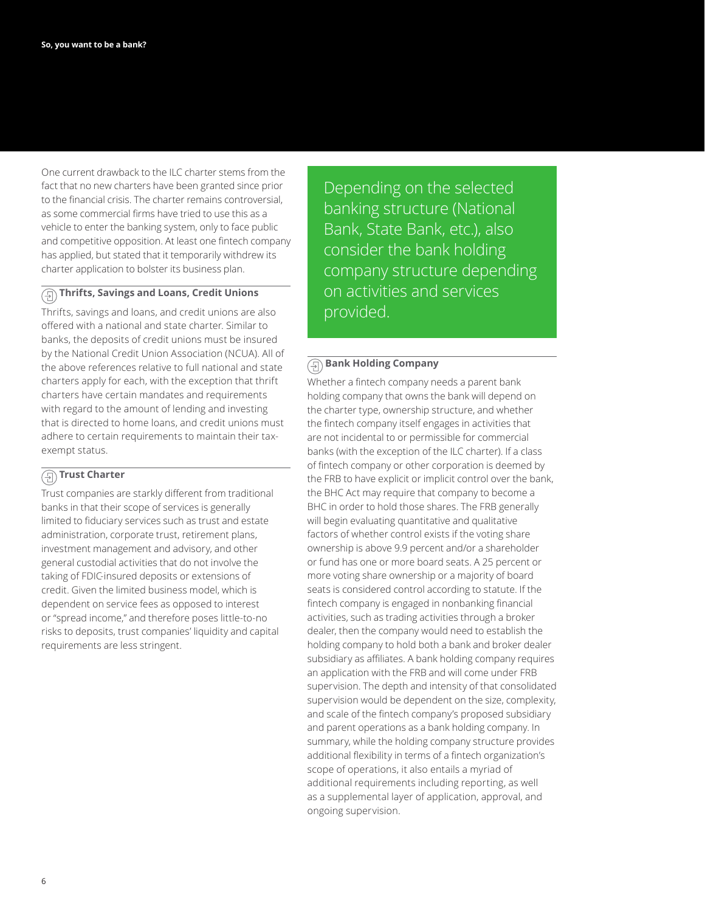One current drawback to the ILC charter stems from the fact that no new charters have been granted since prior to the financial crisis. The charter remains controversial, as some commercial firms have tried to use this as a vehicle to enter the banking system, only to face public and competitive opposition. At least one fintech company has applied, but stated that it temporarily withdrew its charter application to bolster its business plan.

## **Thrifts, Savings and Loans, Credit Unions**

Thrifts, savings and loans, and credit unions are also offered with a national and state charter. Similar to banks, the deposits of credit unions must be insured by the National Credit Union Association (NCUA). All of the above references relative to full national and state charters apply for each, with the exception that thrift charters have certain mandates and requirements with regard to the amount of lending and investing that is directed to home loans, and credit unions must adhere to certain requirements to maintain their taxexempt status.

## **Trust Charter**

Trust companies are starkly different from traditional banks in that their scope of services is generally limited to fiduciary services such as trust and estate administration, corporate trust, retirement plans, investment management and advisory, and other general custodial activities that do not involve the taking of FDIC-insured deposits or extensions of credit. Given the limited business model, which is dependent on service fees as opposed to interest or "spread income," and therefore poses little-to-no risks to deposits, trust companies' liquidity and capital requirements are less stringent.

Depending on the selected banking structure (National Bank, State Bank, etc.), also consider the bank holding company structure depending on activities and services provided.

## **Bank Holding Company**

Whether a fintech company needs a parent bank holding company that owns the bank will depend on the charter type, ownership structure, and whether the fintech company itself engages in activities that are not incidental to or permissible for commercial banks (with the exception of the ILC charter). If a class of fintech company or other corporation is deemed by the FRB to have explicit or implicit control over the bank, the BHC Act may require that company to become a BHC in order to hold those shares. The FRB generally will begin evaluating quantitative and qualitative factors of whether control exists if the voting share ownership is above 9.9 percent and/or a shareholder or fund has one or more board seats. A 25 percent or more voting share ownership or a majority of board seats is considered control according to statute. If the fintech company is engaged in nonbanking financial activities, such as trading activities through a broker dealer, then the company would need to establish the holding company to hold both a bank and broker dealer subsidiary as affiliates. A bank holding company requires an application with the FRB and will come under FRB supervision. The depth and intensity of that consolidated supervision would be dependent on the size, complexity, and scale of the fintech company's proposed subsidiary and parent operations as a bank holding company. In summary, while the holding company structure provides additional flexibility in terms of a fintech organization's scope of operations, it also entails a myriad of additional requirements including reporting, as well as a supplemental layer of application, approval, and ongoing supervision.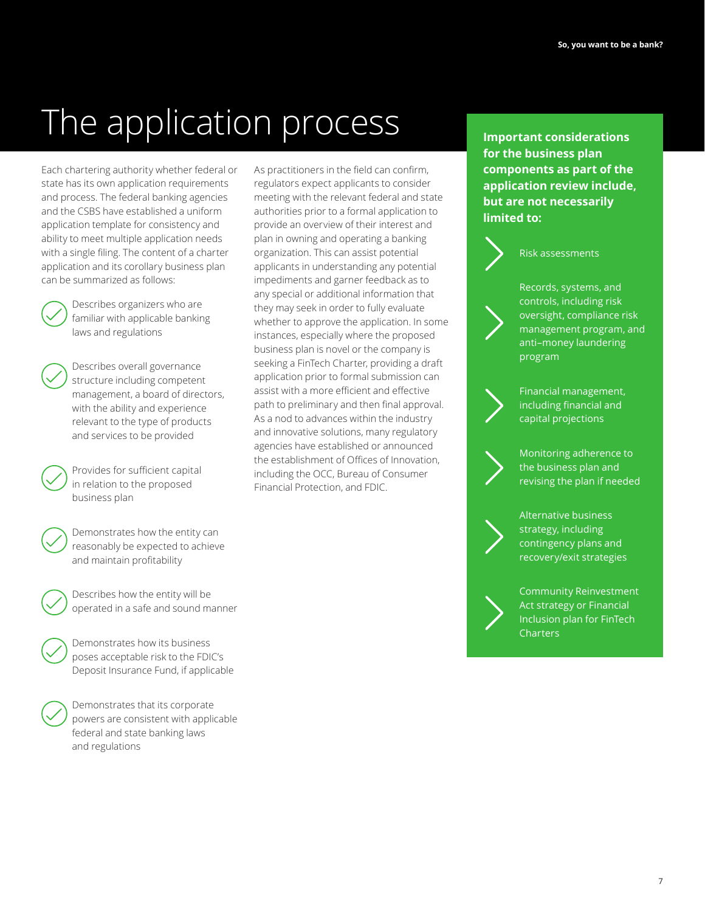# The application process **Integrations**

Each chartering authority whether federal or state has its own application requirements and process. The federal banking agencies and the CSBS have established a uniform application template for consistency and ability to meet multiple application needs with a single filing. The content of a charter application and its corollary business plan can be summarized as follows:



 Describes organizers who are familiar with applicable banking laws and regulations

 Describes overall governance structure including competent management, a board of directors, with the ability and experience relevant to the type of products and services to be provided

 Provides for sufficient capital in relation to the proposed business plan

 Demonstrates how the entity can reasonably be expected to achieve and maintain profitability

 Describes how the entity will be operated in a safe and sound manner

 Demonstrates how its business poses acceptable risk to the FDIC's Deposit Insurance Fund, if applicable

 Demonstrates that its corporate powers are consistent with applicable federal and state banking laws and regulations

As practitioners in the field can confirm, regulators expect applicants to consider meeting with the relevant federal and state authorities prior to a formal application to provide an overview of their interest and plan in owning and operating a banking organization. This can assist potential applicants in understanding any potential impediments and garner feedback as to any special or additional information that they may seek in order to fully evaluate whether to approve the application. In some instances, especially where the proposed business plan is novel or the company is seeking a FinTech Charter, providing a draft application prior to formal submission can assist with a more efficient and effective path to preliminary and then final approval. As a nod to advances within the industry and innovative solutions, many regulatory agencies have established or announced the establishment of Offices of Innovation, including the OCC, Bureau of Consumer Financial Protection, and FDIC.

**for the business plan components as part of the application review include, but are not necessarily limited to:**



### Risk assessments



Records, systems, and controls, including risk oversight, compliance risk management program, and anti–money laundering program



Financial management, including financial and capital projections



Monitoring adherence to the business plan and revising the plan if needed

Alternative business strategy, including contingency plans and recovery/exit strategies

Community Reinvestment Act strategy or Financial Inclusion plan for FinTech **Charters**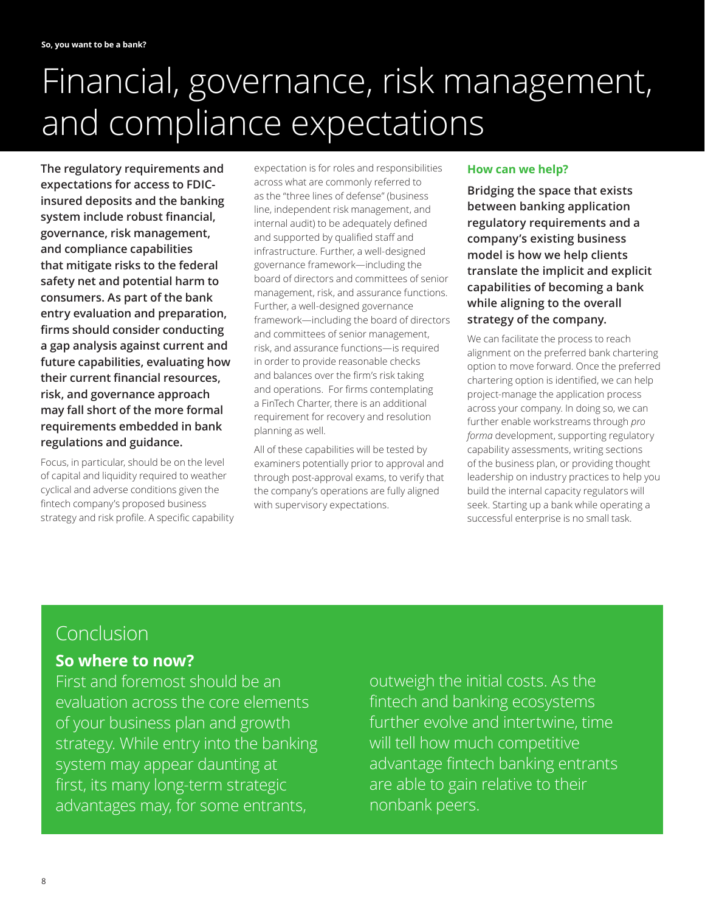## Financial, governance, risk management, and compliance expectations

**The regulatory requirements and expectations for access to FDICinsured deposits and the banking system include robust financial, governance, risk management, and compliance capabilities that mitigate risks to the federal safety net and potential harm to consumers. As part of the bank entry evaluation and preparation, firms should consider conducting a gap analysis against current and future capabilities, evaluating how their current financial resources, risk, and governance approach may fall short of the more formal requirements embedded in bank regulations and guidance.**

Focus, in particular, should be on the level of capital and liquidity required to weather cyclical and adverse conditions given the fintech company's proposed business strategy and risk profile. A specific capability expectation is for roles and responsibilities across what are commonly referred to as the "three lines of defense" (business line, independent risk management, and internal audit) to be adequately defined and supported by qualified staff and infrastructure. Further, a well-designed governance framework—including the board of directors and committees of senior management, risk, and assurance functions. Further, a well-designed governance framework—including the board of directors and committees of senior management, risk, and assurance functions—is required in order to provide reasonable checks and balances over the firm's risk taking and operations. For firms contemplating a FinTech Charter, there is an additional requirement for recovery and resolution planning as well.

All of these capabilities will be tested by examiners potentially prior to approval and through post-approval exams, to verify that the company's operations are fully aligned with supervisory expectations.

## **How can we help?**

**Bridging the space that exists between banking application regulatory requirements and a company's existing business model is how we help clients translate the implicit and explicit capabilities of becoming a bank while aligning to the overall strategy of the company.**

We can facilitate the process to reach alignment on the preferred bank chartering option to move forward. Once the preferred chartering option is identified, we can help project-manage the application process across your company. In doing so, we can further enable workstreams through *pro forma* development, supporting regulatory capability assessments, writing sections of the business plan, or providing thought leadership on industry practices to help you build the internal capacity regulators will seek. Starting up a bank while operating a successful enterprise is no small task.

## Conclusion

## **So where to now?**

First and foremost should be an evaluation across the core elements of your business plan and growth strategy. While entry into the banking system may appear daunting at first, its many long-term strategic advantages may, for some entrants,

outweigh the initial costs. As the fintech and banking ecosystems further evolve and intertwine, time will tell how much competitive advantage fintech banking entrants are able to gain relative to their nonbank peers.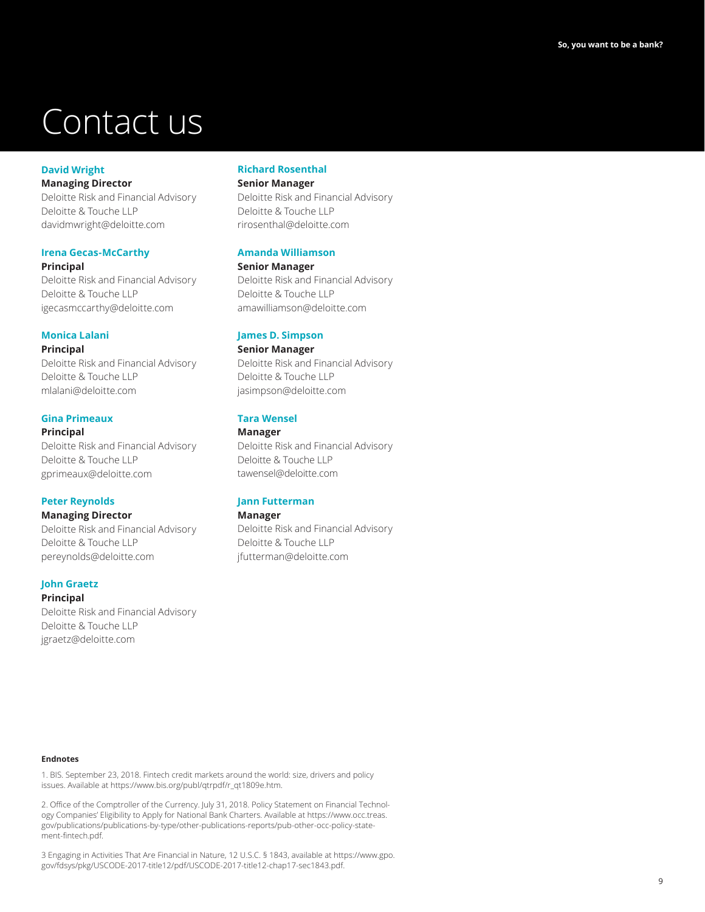## Contact us

## **David Wright**

**Managing Director** Deloitte Risk and Financial Advisory Deloitte & Touche LLP [davidmwright@deloitte.com](mailto:davidmwright%40deloitte.com?subject=)

## **Irena Gecas-McCarthy**

**Principal** Deloitte Risk and Financial Advisory Deloitte & Touche LLP [igecasmccarthy@deloitte.com](mailto:igecasmccarthy@deloitte.com)

## **Monica Lalani**

**Principal** Deloitte Risk and Financial Advisory Deloitte & Touche LLP [mlalani@deloitte.com](mailto:mlalani@deloitte.com)

## **Gina Primeaux**

#### **Principal**

Deloitte Risk and Financial Advisory Deloitte & Touche LLP [gprimeaux@deloitte.com](mailto:gprimeaux@deloitte.com)

## **Peter Reynolds**

### **Managing Director**

Deloitte Risk and Financial Advisory Deloitte & Touche LLP [pereynolds@deloitte.com](mailto:pereynolds@deloitte.com)

### **John Graetz**

**Principal**

Deloitte Risk and Financial Advisory Deloitte & Touche LLP [jgraetz@deloitte.com](mailto:jgraetz@deloitte.com)

## **Richard Rosenthal**

## **Senior Manager**

Deloitte Risk and Financial Advisory Deloitte & Touche LLP [rirosenthal@deloitte.com](mailto:rirosenthal@deloitte.com)

## **Amanda Williamson**

**Senior Manager** Deloitte Risk and Financial Advisory Deloitte & Touche LLP [amawilliamson@deloitte.com](mailto:amawilliamson@deloitte.com)

## **James D. Simpson**

**Senior Manager** Deloitte Risk and Financial Advisory Deloitte & Touche LLP [jasimpson@deloitte.com](mailto:jasimpson@deloitte.com)

## **Tara Wensel**

## **Manager**

Deloitte Risk and Financial Advisory Deloitte & Touche LLP [tawensel@deloitte.com](mailto:stshroff@deloitte.com)

## **Jann Futterman**

### **Manager**

Deloitte Risk and Financial Advisory Deloitte & Touche LLP [jfutterman@deloitte.com](mailto:jfutterman@deloitte.com)

#### **Endnotes**

1. BIS. September 23, 2018. Fintech credit markets around the world: size, drivers and policy issues. Available at [https://www.bis.org/publ/qtrpdf/r\\_qt1809e.htm.](https://www.bis.org/publ/qtrpdf/r_qt1809e.htm)

2. Office of the Comptroller of the Currency. July 31, 2018. Policy Statement on Financial Technology Companies' Eligibility to Apply for National Bank Charters. Available at [https://www.occ.treas.](https://www.occ.treas.gov/publications/publications-by-type/other-publications-reports/pub-other-occ-policy-statement-fintech.pdf) [gov/publications/publications-by-type/other-publications-reports/pub-other-occ-policy-state](https://www.occ.treas.gov/publications/publications-by-type/other-publications-reports/pub-other-occ-policy-statement-fintech.pdf)[ment-fintech.pdf](https://www.occ.treas.gov/publications/publications-by-type/other-publications-reports/pub-other-occ-policy-statement-fintech.pdf).

3 Engaging in Activities That Are Financial in Nature, 12 U.S.C. § 1843, available at [https://www.gpo.](https://www.gpo.gov/fdsys/pkg/USCODE-2017-title12/pdf/USCODE-2017-title12-chap17-sec1843.pdf) [gov/fdsys/pkg/USCODE-2017-title12/pdf/USCODE-2017-title12-chap17-sec1843.pdf.](https://www.gpo.gov/fdsys/pkg/USCODE-2017-title12/pdf/USCODE-2017-title12-chap17-sec1843.pdf)